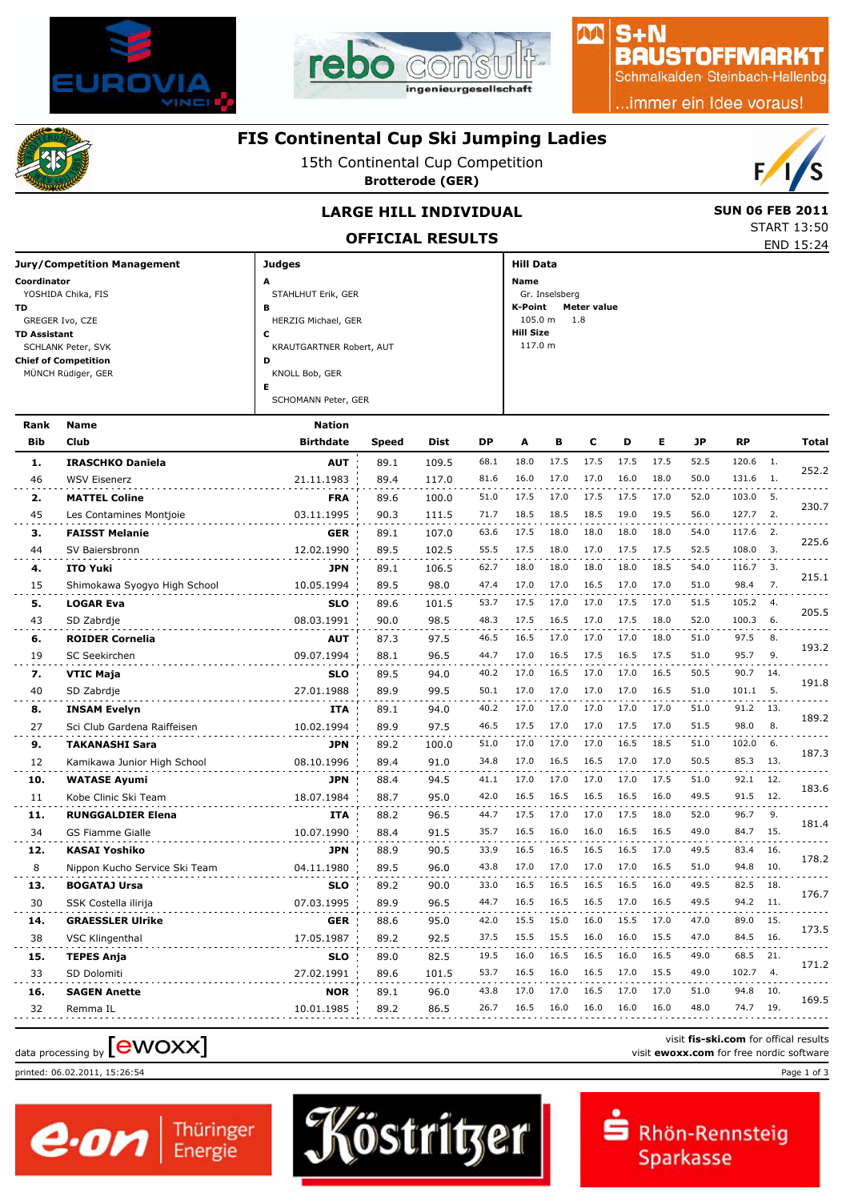



#### $S + N$ **BAUSTOFFMARKT**

AA

Schmalkalden Steinbach-Hallenbg

..immer ein Idee voraus!



## **FIS Continental Cup Ski Jumping Ladies**

15th Continental Cup Competition

**Brotterode (GER)**



START 13:50

## **LARGE HILL INDIVIDUAL** SUN 06 FEB 2011

**OFFICIAL RESULTS** END 15:24

| <b>Jury/Competition Management</b> | <b>Judges</b>            | <b>Hill Data</b>       |
|------------------------------------|--------------------------|------------------------|
| Coordinator                        | A                        | Name                   |
| YOSHIDA Chika, FIS                 | STAHLHUT Erik, GER       | Gr. Inselsberg         |
| TD.                                | в                        | K-Point<br>Meter value |
| GREGER Ivo, CZE                    | HERZIG Michael, GER      | $105.0 m$ 1.8          |
| <b>TD Assistant</b>                | J                        | <b>Hill Size</b>       |
| SCHLANK Peter, SVK                 | KRAUTGARTNER Robert, AUT | 117.0 m                |
| <b>Chief of Competition</b>        | D                        |                        |
| MÜNCH Rüdiger, GER                 | KNOLL Bob, GER           |                        |
|                                    | Е                        |                        |
|                                    | SCHOMANN Peter, GER      |                        |

| Rank       | <b>Name</b>                   | <b>Nation</b>    |       |       |      |      |      |      |      |      |           |           |                  |       |
|------------|-------------------------------|------------------|-------|-------|------|------|------|------|------|------|-----------|-----------|------------------|-------|
| <b>Bib</b> | Club                          | <b>Birthdate</b> | Speed | Dist  | DP   | A    | в    | C    | D    | Е    | <b>JP</b> | <b>RP</b> |                  | Total |
| 1.         | <b>IRASCHKO Daniela</b>       | <b>AUT</b>       | 89.1  | 109.5 | 68.1 | 18.0 | 17.5 | 17.5 | 17.5 | 17.5 | 52.5      | 120.6     | $\overline{1}$ . |       |
| 46         | <b>WSV Eisenerz</b>           | 21.11.1983       | 89.4  | 117.0 | 81.6 | 16.0 | 17.0 | 17.0 | 16.0 | 18.0 | 50.0      | 131.6     | - 1.             | 252.2 |
| 2.         | <b>MATTEL Coline</b>          | <b>FRA</b>       | 89.6  | 100.0 | 51.0 | 17.5 | 17.0 | 17.5 | 17.5 | 17.0 | 52.0      | 103.0 5.  |                  |       |
| 45         | Les Contamines Montjoie       | 03.11.1995       | 90.3  | 111.5 | 71.7 | 18.5 | 18.5 | 18.5 | 19.0 | 19.5 | 56.0      | 127.7     | 2.               | 230.7 |
| з.         | <b>FAISST Melanie</b>         | <b>GER</b>       | 89.1  | 107.0 | 63.6 | 17.5 | 18.0 | 18.0 | 18.0 | 18.0 | 54.0      | 117.6     | 2.               | 225.6 |
| 44         | SV Baiersbronn                | 12.02.1990       | 89.5  | 102.5 | 55.5 | 17.5 | 18.0 | 17.0 | 17.5 | 17.5 | 52.5      | 108.0     | 3.               |       |
| 4.         | <b>ITO Yuki</b>               | <b>JPN</b>       | 89.1  | 106.5 | 62.7 | 18.0 | 18.0 | 18.0 | 18.0 | 18.5 | 54.0      | 116.7     | $\overline{3}$ . | 215.1 |
| 15         | Shimokawa Syogyo High School  | 10.05.1994       | 89.5  | 98.0  | 47.4 | 17.0 | 17.0 | 16.5 | 17.0 | 17.0 | 51.0      | 98.4      | 7.               |       |
| 5.         | <b>LOGAR Eva</b>              | <b>SLO</b>       | 89.6  | 101.5 | 53.7 | 17.5 | 17.0 | 17.0 | 17.5 | 17.0 | 51.5      | 105.2     | 4.               |       |
| 43         | SD Zabrdje                    | 08.03.1991       | 90.0  | 98.5  | 48.3 | 17.5 | 16.5 | 17.0 | 17.5 | 18.0 | 52.0      | 100.3     | - 6.             | 205.5 |
| 6.         | <b>ROIDER Cornelia</b>        | <b>AUT</b>       | 87.3  | 97.5  | 46.5 | 16.5 | 17.0 | 17.0 | 17.0 | 18.0 | 51.0      | 97.5      | 8.               |       |
| 19         | SC Seekirchen                 | 09.07.1994       | 88.1  | 96.5  | 44.7 | 17.0 | 16.5 | 17.5 | 16.5 | 17.5 | 51.0      | 95.7      | 9.               | 193.2 |
| 7.         | <b>VTIC Maja</b>              | <b>SLO</b>       | 89.5  | 94.0  | 40.2 | 17.0 | 16.5 | 17.0 | 17.0 | 16.5 | 50.5      | 90.7      | 14.              |       |
| 40         | SD Zabrdje                    | 27.01.1988       | 89.9  | 99.5  | 50.1 | 17.0 | 17.0 | 17.0 | 17.0 | 16.5 | 51.0      | 101.1     | 5.               | 191.8 |
| 8.         | <b>INSAM Evelyn</b>           | <b>ITA</b>       | 89.1  | 94.0  | 40.2 | 17.0 | 17.0 | 17.0 | 17.0 | 17.0 | 51.0      | 91.2      | 13.              | 189.2 |
| 27         | Sci Club Gardena Raiffeisen   | 10.02.1994       | 89.9  | 97.5  | 46.5 | 17.5 | 17.0 | 17.0 | 17.5 | 17.0 | 51.5      | 98.0      | 8.               |       |
| 9.         | <b>TAKANASHI Sara</b>         | <b>JPN</b>       | 89.2  | 100.0 | 51.0 | 17.0 | 17.0 | 17.0 | 16.5 | 18.5 | 51.0      | 102.0     | - 6.             |       |
| 12         | Kamikawa Junior High School   | 08.10.1996       | 89.4  | 91.0  | 34.8 | 17.0 | 16.5 | 16.5 | 17.0 | 17.0 | 50.5      | 85.3      | - 13.            | 187.3 |
| 10.        | <b>WATASE Ayumi</b>           | <b>JPN</b>       | 88.4  | 94.5  | 41.1 | 17.0 | 17.0 | 17.0 | 17.0 | 17.5 | 51.0      | 92.1      | 12.              | 183.6 |
| 11         | Kobe Clinic Ski Team          | 18.07.1984       | 88.7  | 95.0  | 42.0 | 16.5 | 16.5 | 16.5 | 16.5 | 16.0 | 49.5      | 91.5      | 12.              |       |
| 11.        | <b>RUNGGALDIER Elena</b>      | <b>ITA</b>       | 88.2  | 96.5  | 44.7 | 17.5 | 17.0 | 17.0 | 17.5 | 18.0 | 52.0      | 96.7      | 9.               | 181.4 |
| 34         | <b>GS Fiamme Gialle</b>       | 10.07.1990       | 88.4  | 91.5  | 35.7 | 16.5 | 16.0 | 16.0 | 16.5 | 16.5 | 49.0      | 84.7      | 15.              |       |
| 12.        | <b>KASAI Yoshiko</b>          | <b>JPN</b>       | 88.9  | 90.5  | 33.9 | 16.5 | 16.5 | 16.5 | 16.5 | 17.0 | 49.5      | 83.4      | -16.             | 178.2 |
| 8          | Nippon Kucho Service Ski Team | 04.11.1980       | 89.5  | 96.0  | 43.8 | 17.0 | 17.0 | 17.0 | 17.0 | 16.5 | 51.0      | 94.8      | 10.              |       |
| 13.        | <b>BOGATAJ Ursa</b>           | <b>SLO</b>       | 89.2  | 90.0  | 33.0 | 16.5 | 16.5 | 16.5 | 16.5 | 16.0 | 49.5      | 82.5      | 18.              | 176.7 |
| 30         | SSK Costella ilirija          | 07.03.1995       | 89.9  | 96.5  | 44.7 | 16.5 | 16.5 | 16.5 | 17.0 | 16.5 | 49.5      | 94.2      | -11.             |       |
| 14.        | <b>GRAESSLER Ulrike</b>       | <b>GER</b>       | 88.6  | 95.0  | 42.0 | 15.5 | 15.0 | 16.0 | 15.5 | 17.0 | 47.0      | 89.0      | 15.              | 173.5 |
| 38         | <b>VSC Klingenthal</b>        | 17.05.1987       | 89.2  | 92.5  | 37.5 | 15.5 | 15.5 | 16.0 | 16.0 | 15.5 | 47.0      | 84.5      | 16.              |       |
| 15.        | <b>TEPES Anja</b>             | <b>SLO</b>       | 89.0  | 82.5  | 19.5 | 16.0 | 16.5 | 16.5 | 16.0 | 16.5 | 49.0      | 68.5      | 21.              | 171.2 |
| 33         | SD Dolomiti                   | 27.02.1991       | 89.6  | 101.5 | 53.7 | 16.5 | 16.0 | 16.5 | 17.0 | 15.5 | 49.0      | 102.7     | 4.               |       |
| 16.        | <b>SAGEN Anette</b>           | <b>NOR</b>       | 89.1  | 96.0  | 43.8 | 17.0 | 17.0 | 16.5 | 17.0 | 17.0 | 51.0      | 94.8      | 10.              | 169.5 |
| 32         | Remma IL                      | 10.01.1985       | 89.2  | 86.5  | 26.7 | 16.5 | 16.0 | 16.0 | 16.0 | 16.0 | 48.0      | 74.7      | 19.              |       |
|            |                               |                  |       |       |      |      |      |      |      |      |           |           |                  |       |

Köstritzer

# visit fis-ski.com for offical results<br>visit **ewoxx.com** for free nordic software<br>visit **ewoxx.com** for free nordic software

printed: 06.02.2011, 15:26:54 Page 1 of 3



visit **fis-ski.com** for offical results

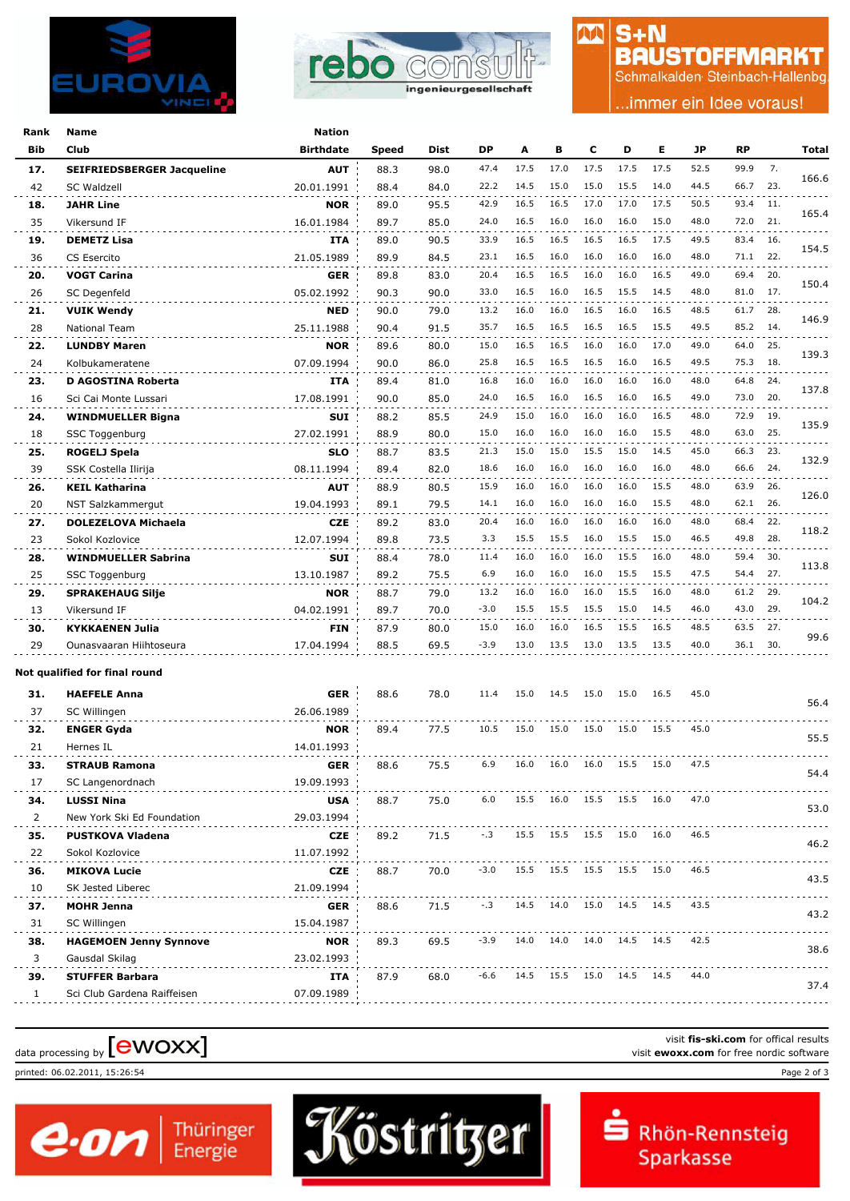



## $S + N$ **BAUSTOFFMARKT**

M

Schmalkalden Steinbach-Hallenbg

.immer ein Idee voraus!

| Name                              | <b>Nation</b>                                                                                                                                                                                                                                                                                                                                                                                                                                                                                                                                                                                                                                                                                  |                                                                                                                                                                                                                                                                                                                                                                                                                                                |                                                                                                                                                                                              |                                                                                                                                                                                                                      |                                                                                                                                                                                                        |                                                                                                                                                                                              |                                                                                                                                                                                      |                                                                                                                                                                                                                |                                                                                                                                                                                      |                                                                                                                                                                                                                                              |                                                                                                                                                                                                      |                                                                                                                                                      |                                                                                                                                 |
|-----------------------------------|------------------------------------------------------------------------------------------------------------------------------------------------------------------------------------------------------------------------------------------------------------------------------------------------------------------------------------------------------------------------------------------------------------------------------------------------------------------------------------------------------------------------------------------------------------------------------------------------------------------------------------------------------------------------------------------------|------------------------------------------------------------------------------------------------------------------------------------------------------------------------------------------------------------------------------------------------------------------------------------------------------------------------------------------------------------------------------------------------------------------------------------------------|----------------------------------------------------------------------------------------------------------------------------------------------------------------------------------------------|----------------------------------------------------------------------------------------------------------------------------------------------------------------------------------------------------------------------|--------------------------------------------------------------------------------------------------------------------------------------------------------------------------------------------------------|----------------------------------------------------------------------------------------------------------------------------------------------------------------------------------------------|--------------------------------------------------------------------------------------------------------------------------------------------------------------------------------------|----------------------------------------------------------------------------------------------------------------------------------------------------------------------------------------------------------------|--------------------------------------------------------------------------------------------------------------------------------------------------------------------------------------|----------------------------------------------------------------------------------------------------------------------------------------------------------------------------------------------------------------------------------------------|------------------------------------------------------------------------------------------------------------------------------------------------------------------------------------------------------|------------------------------------------------------------------------------------------------------------------------------------------------------|---------------------------------------------------------------------------------------------------------------------------------|
| Club                              | Birthdate                                                                                                                                                                                                                                                                                                                                                                                                                                                                                                                                                                                                                                                                                      | Speed                                                                                                                                                                                                                                                                                                                                                                                                                                          | Dist                                                                                                                                                                                         | <b>DP</b>                                                                                                                                                                                                            | A                                                                                                                                                                                                      | в                                                                                                                                                                                            | с                                                                                                                                                                                    | D                                                                                                                                                                                                              | Е                                                                                                                                                                                    | JP                                                                                                                                                                                                                                           | <b>RP</b>                                                                                                                                                                                            |                                                                                                                                                      | Total                                                                                                                           |
| <b>SEIFRIEDSBERGER Jacqueline</b> | <b>AUT</b>                                                                                                                                                                                                                                                                                                                                                                                                                                                                                                                                                                                                                                                                                     | 88.3                                                                                                                                                                                                                                                                                                                                                                                                                                           | 98.0                                                                                                                                                                                         | 47.4                                                                                                                                                                                                                 | 17.5                                                                                                                                                                                                   | 17.0                                                                                                                                                                                         | 17.5                                                                                                                                                                                 | 17.5                                                                                                                                                                                                           | 17.5                                                                                                                                                                                 | 52.5                                                                                                                                                                                                                                         | 99.9                                                                                                                                                                                                 | 7.                                                                                                                                                   |                                                                                                                                 |
| SC Waldzell                       | 20.01.1991                                                                                                                                                                                                                                                                                                                                                                                                                                                                                                                                                                                                                                                                                     | 88.4                                                                                                                                                                                                                                                                                                                                                                                                                                           | 84.0                                                                                                                                                                                         | 22.2                                                                                                                                                                                                                 | 14.5                                                                                                                                                                                                   | 15.0                                                                                                                                                                                         | 15.0                                                                                                                                                                                 | 15.5                                                                                                                                                                                                           | 14.0                                                                                                                                                                                 | 44.5                                                                                                                                                                                                                                         | 66.7                                                                                                                                                                                                 | 23.                                                                                                                                                  | 166.6                                                                                                                           |
| <b>JAHR Line</b>                  | <b>NOR</b>                                                                                                                                                                                                                                                                                                                                                                                                                                                                                                                                                                                                                                                                                     | 89.0                                                                                                                                                                                                                                                                                                                                                                                                                                           | 95.5                                                                                                                                                                                         | 42.9                                                                                                                                                                                                                 | 16.5                                                                                                                                                                                                   | 16.5                                                                                                                                                                                         | 17.0                                                                                                                                                                                 | 17.0                                                                                                                                                                                                           | 17.5                                                                                                                                                                                 | 50.5                                                                                                                                                                                                                                         | 93.4                                                                                                                                                                                                 | 11.                                                                                                                                                  |                                                                                                                                 |
| Vikersund IF                      | 16.01.1984                                                                                                                                                                                                                                                                                                                                                                                                                                                                                                                                                                                                                                                                                     | 89.7                                                                                                                                                                                                                                                                                                                                                                                                                                           | 85.0                                                                                                                                                                                         | 24.0                                                                                                                                                                                                                 | 16.5                                                                                                                                                                                                   | 16.0                                                                                                                                                                                         | 16.0                                                                                                                                                                                 | 16.0                                                                                                                                                                                                           | 15.0                                                                                                                                                                                 | 48.0                                                                                                                                                                                                                                         | 72.0                                                                                                                                                                                                 | 21.                                                                                                                                                  | 165.4                                                                                                                           |
|                                   | ITA                                                                                                                                                                                                                                                                                                                                                                                                                                                                                                                                                                                                                                                                                            | 89.0                                                                                                                                                                                                                                                                                                                                                                                                                                           | 90.5                                                                                                                                                                                         | 33.9                                                                                                                                                                                                                 | 16.5                                                                                                                                                                                                   | 16.5                                                                                                                                                                                         | 16.5                                                                                                                                                                                 | 16.5                                                                                                                                                                                                           | 17.5                                                                                                                                                                                 | 49.5                                                                                                                                                                                                                                         | 83.4                                                                                                                                                                                                 | -16.                                                                                                                                                 |                                                                                                                                 |
|                                   |                                                                                                                                                                                                                                                                                                                                                                                                                                                                                                                                                                                                                                                                                                |                                                                                                                                                                                                                                                                                                                                                                                                                                                |                                                                                                                                                                                              | 23.1                                                                                                                                                                                                                 | 16.5                                                                                                                                                                                                   | 16.0                                                                                                                                                                                         | 16.0                                                                                                                                                                                 | 16.0                                                                                                                                                                                                           | 16.0                                                                                                                                                                                 | 48.0                                                                                                                                                                                                                                         | 71.1                                                                                                                                                                                                 | 22.                                                                                                                                                  | 154.5                                                                                                                           |
|                                   |                                                                                                                                                                                                                                                                                                                                                                                                                                                                                                                                                                                                                                                                                                |                                                                                                                                                                                                                                                                                                                                                                                                                                                |                                                                                                                                                                                              |                                                                                                                                                                                                                      | 16.5                                                                                                                                                                                                   |                                                                                                                                                                                              |                                                                                                                                                                                      | 16.0                                                                                                                                                                                                           | 16.5                                                                                                                                                                                 |                                                                                                                                                                                                                                              |                                                                                                                                                                                                      | 20.                                                                                                                                                  |                                                                                                                                 |
|                                   |                                                                                                                                                                                                                                                                                                                                                                                                                                                                                                                                                                                                                                                                                                |                                                                                                                                                                                                                                                                                                                                                                                                                                                |                                                                                                                                                                                              | 33.0                                                                                                                                                                                                                 | 16.5                                                                                                                                                                                                   | 16.0                                                                                                                                                                                         | 16.5                                                                                                                                                                                 | 15.5                                                                                                                                                                                                           | 14.5                                                                                                                                                                                 | 48.0                                                                                                                                                                                                                                         | 81.0                                                                                                                                                                                                 | 17.                                                                                                                                                  | 150.4                                                                                                                           |
|                                   |                                                                                                                                                                                                                                                                                                                                                                                                                                                                                                                                                                                                                                                                                                |                                                                                                                                                                                                                                                                                                                                                                                                                                                |                                                                                                                                                                                              |                                                                                                                                                                                                                      |                                                                                                                                                                                                        |                                                                                                                                                                                              |                                                                                                                                                                                      |                                                                                                                                                                                                                |                                                                                                                                                                                      |                                                                                                                                                                                                                                              |                                                                                                                                                                                                      |                                                                                                                                                      |                                                                                                                                 |
|                                   |                                                                                                                                                                                                                                                                                                                                                                                                                                                                                                                                                                                                                                                                                                |                                                                                                                                                                                                                                                                                                                                                                                                                                                |                                                                                                                                                                                              |                                                                                                                                                                                                                      |                                                                                                                                                                                                        |                                                                                                                                                                                              |                                                                                                                                                                                      |                                                                                                                                                                                                                |                                                                                                                                                                                      |                                                                                                                                                                                                                                              |                                                                                                                                                                                                      |                                                                                                                                                      | 146.9                                                                                                                           |
|                                   |                                                                                                                                                                                                                                                                                                                                                                                                                                                                                                                                                                                                                                                                                                |                                                                                                                                                                                                                                                                                                                                                                                                                                                |                                                                                                                                                                                              |                                                                                                                                                                                                                      |                                                                                                                                                                                                        |                                                                                                                                                                                              |                                                                                                                                                                                      |                                                                                                                                                                                                                |                                                                                                                                                                                      |                                                                                                                                                                                                                                              |                                                                                                                                                                                                      |                                                                                                                                                      |                                                                                                                                 |
|                                   |                                                                                                                                                                                                                                                                                                                                                                                                                                                                                                                                                                                                                                                                                                |                                                                                                                                                                                                                                                                                                                                                                                                                                                |                                                                                                                                                                                              |                                                                                                                                                                                                                      |                                                                                                                                                                                                        |                                                                                                                                                                                              |                                                                                                                                                                                      |                                                                                                                                                                                                                |                                                                                                                                                                                      |                                                                                                                                                                                                                                              |                                                                                                                                                                                                      |                                                                                                                                                      | 139.3                                                                                                                           |
|                                   |                                                                                                                                                                                                                                                                                                                                                                                                                                                                                                                                                                                                                                                                                                |                                                                                                                                                                                                                                                                                                                                                                                                                                                |                                                                                                                                                                                              |                                                                                                                                                                                                                      |                                                                                                                                                                                                        |                                                                                                                                                                                              |                                                                                                                                                                                      |                                                                                                                                                                                                                |                                                                                                                                                                                      |                                                                                                                                                                                                                                              |                                                                                                                                                                                                      |                                                                                                                                                      |                                                                                                                                 |
|                                   |                                                                                                                                                                                                                                                                                                                                                                                                                                                                                                                                                                                                                                                                                                |                                                                                                                                                                                                                                                                                                                                                                                                                                                |                                                                                                                                                                                              |                                                                                                                                                                                                                      |                                                                                                                                                                                                        |                                                                                                                                                                                              |                                                                                                                                                                                      |                                                                                                                                                                                                                |                                                                                                                                                                                      |                                                                                                                                                                                                                                              |                                                                                                                                                                                                      |                                                                                                                                                      | 137.8                                                                                                                           |
|                                   |                                                                                                                                                                                                                                                                                                                                                                                                                                                                                                                                                                                                                                                                                                |                                                                                                                                                                                                                                                                                                                                                                                                                                                |                                                                                                                                                                                              |                                                                                                                                                                                                                      |                                                                                                                                                                                                        |                                                                                                                                                                                              |                                                                                                                                                                                      |                                                                                                                                                                                                                |                                                                                                                                                                                      |                                                                                                                                                                                                                                              |                                                                                                                                                                                                      |                                                                                                                                                      |                                                                                                                                 |
|                                   |                                                                                                                                                                                                                                                                                                                                                                                                                                                                                                                                                                                                                                                                                                |                                                                                                                                                                                                                                                                                                                                                                                                                                                |                                                                                                                                                                                              |                                                                                                                                                                                                                      |                                                                                                                                                                                                        |                                                                                                                                                                                              |                                                                                                                                                                                      |                                                                                                                                                                                                                |                                                                                                                                                                                      |                                                                                                                                                                                                                                              |                                                                                                                                                                                                      |                                                                                                                                                      | 135.9                                                                                                                           |
|                                   |                                                                                                                                                                                                                                                                                                                                                                                                                                                                                                                                                                                                                                                                                                |                                                                                                                                                                                                                                                                                                                                                                                                                                                |                                                                                                                                                                                              |                                                                                                                                                                                                                      |                                                                                                                                                                                                        |                                                                                                                                                                                              |                                                                                                                                                                                      |                                                                                                                                                                                                                |                                                                                                                                                                                      |                                                                                                                                                                                                                                              |                                                                                                                                                                                                      |                                                                                                                                                      |                                                                                                                                 |
|                                   |                                                                                                                                                                                                                                                                                                                                                                                                                                                                                                                                                                                                                                                                                                |                                                                                                                                                                                                                                                                                                                                                                                                                                                |                                                                                                                                                                                              |                                                                                                                                                                                                                      |                                                                                                                                                                                                        |                                                                                                                                                                                              |                                                                                                                                                                                      |                                                                                                                                                                                                                |                                                                                                                                                                                      |                                                                                                                                                                                                                                              |                                                                                                                                                                                                      |                                                                                                                                                      | 132.9                                                                                                                           |
|                                   |                                                                                                                                                                                                                                                                                                                                                                                                                                                                                                                                                                                                                                                                                                |                                                                                                                                                                                                                                                                                                                                                                                                                                                |                                                                                                                                                                                              |                                                                                                                                                                                                                      |                                                                                                                                                                                                        |                                                                                                                                                                                              |                                                                                                                                                                                      |                                                                                                                                                                                                                |                                                                                                                                                                                      |                                                                                                                                                                                                                                              |                                                                                                                                                                                                      |                                                                                                                                                      |                                                                                                                                 |
|                                   |                                                                                                                                                                                                                                                                                                                                                                                                                                                                                                                                                                                                                                                                                                |                                                                                                                                                                                                                                                                                                                                                                                                                                                |                                                                                                                                                                                              |                                                                                                                                                                                                                      |                                                                                                                                                                                                        |                                                                                                                                                                                              |                                                                                                                                                                                      |                                                                                                                                                                                                                |                                                                                                                                                                                      |                                                                                                                                                                                                                                              |                                                                                                                                                                                                      |                                                                                                                                                      | 126.0                                                                                                                           |
|                                   |                                                                                                                                                                                                                                                                                                                                                                                                                                                                                                                                                                                                                                                                                                |                                                                                                                                                                                                                                                                                                                                                                                                                                                |                                                                                                                                                                                              |                                                                                                                                                                                                                      |                                                                                                                                                                                                        |                                                                                                                                                                                              |                                                                                                                                                                                      |                                                                                                                                                                                                                |                                                                                                                                                                                      |                                                                                                                                                                                                                                              |                                                                                                                                                                                                      |                                                                                                                                                      |                                                                                                                                 |
|                                   |                                                                                                                                                                                                                                                                                                                                                                                                                                                                                                                                                                                                                                                                                                |                                                                                                                                                                                                                                                                                                                                                                                                                                                |                                                                                                                                                                                              |                                                                                                                                                                                                                      |                                                                                                                                                                                                        |                                                                                                                                                                                              |                                                                                                                                                                                      |                                                                                                                                                                                                                |                                                                                                                                                                                      |                                                                                                                                                                                                                                              |                                                                                                                                                                                                      |                                                                                                                                                      | 118.2                                                                                                                           |
|                                   |                                                                                                                                                                                                                                                                                                                                                                                                                                                                                                                                                                                                                                                                                                |                                                                                                                                                                                                                                                                                                                                                                                                                                                |                                                                                                                                                                                              |                                                                                                                                                                                                                      |                                                                                                                                                                                                        |                                                                                                                                                                                              |                                                                                                                                                                                      |                                                                                                                                                                                                                |                                                                                                                                                                                      |                                                                                                                                                                                                                                              |                                                                                                                                                                                                      |                                                                                                                                                      |                                                                                                                                 |
| <b>WINDMUELLER Sabrina</b>        |                                                                                                                                                                                                                                                                                                                                                                                                                                                                                                                                                                                                                                                                                                | 88.4                                                                                                                                                                                                                                                                                                                                                                                                                                           |                                                                                                                                                                                              |                                                                                                                                                                                                                      |                                                                                                                                                                                                        |                                                                                                                                                                                              |                                                                                                                                                                                      |                                                                                                                                                                                                                |                                                                                                                                                                                      |                                                                                                                                                                                                                                              |                                                                                                                                                                                                      |                                                                                                                                                      | 113.8                                                                                                                           |
| SSC Toggenburg                    |                                                                                                                                                                                                                                                                                                                                                                                                                                                                                                                                                                                                                                                                                                |                                                                                                                                                                                                                                                                                                                                                                                                                                                |                                                                                                                                                                                              |                                                                                                                                                                                                                      |                                                                                                                                                                                                        |                                                                                                                                                                                              |                                                                                                                                                                                      |                                                                                                                                                                                                                |                                                                                                                                                                                      |                                                                                                                                                                                                                                              |                                                                                                                                                                                                      |                                                                                                                                                      |                                                                                                                                 |
| <b>SPRAKEHAUG Silje</b>           | <b>NOR</b>                                                                                                                                                                                                                                                                                                                                                                                                                                                                                                                                                                                                                                                                                     | 88.7                                                                                                                                                                                                                                                                                                                                                                                                                                           |                                                                                                                                                                                              | 13.2                                                                                                                                                                                                                 |                                                                                                                                                                                                        |                                                                                                                                                                                              |                                                                                                                                                                                      |                                                                                                                                                                                                                | 16.0                                                                                                                                                                                 | 48.0                                                                                                                                                                                                                                         |                                                                                                                                                                                                      |                                                                                                                                                      | 104.2                                                                                                                           |
| Vikersund IF                      |                                                                                                                                                                                                                                                                                                                                                                                                                                                                                                                                                                                                                                                                                                | 89.7                                                                                                                                                                                                                                                                                                                                                                                                                                           | 70.0                                                                                                                                                                                         | $-3.0$                                                                                                                                                                                                               | 15.5                                                                                                                                                                                                   | 15.5                                                                                                                                                                                         | 15.5                                                                                                                                                                                 | 15.0                                                                                                                                                                                                           | 14.5                                                                                                                                                                                 | 46.0                                                                                                                                                                                                                                         |                                                                                                                                                                                                      | 29.                                                                                                                                                  |                                                                                                                                 |
| <b>KYKKAENEN Julia</b>            | <b>FIN</b>                                                                                                                                                                                                                                                                                                                                                                                                                                                                                                                                                                                                                                                                                     | 87.9                                                                                                                                                                                                                                                                                                                                                                                                                                           | 80.0                                                                                                                                                                                         | 15.0                                                                                                                                                                                                                 | 16.0                                                                                                                                                                                                   | 16.0                                                                                                                                                                                         | 16.5                                                                                                                                                                                 | 15.5                                                                                                                                                                                                           | 16.5                                                                                                                                                                                 | 48.5                                                                                                                                                                                                                                         | 63.5                                                                                                                                                                                                 | 27.                                                                                                                                                  | 99.6                                                                                                                            |
| Ounasvaaran Hiihtoseura           | 17.04.1994                                                                                                                                                                                                                                                                                                                                                                                                                                                                                                                                                                                                                                                                                     | 88.5                                                                                                                                                                                                                                                                                                                                                                                                                                           | 69.5                                                                                                                                                                                         | $-3.9$                                                                                                                                                                                                               | 13.0                                                                                                                                                                                                   | 13.5                                                                                                                                                                                         | 13.0                                                                                                                                                                                 | 13.5                                                                                                                                                                                                           | 13.5                                                                                                                                                                                 | 40.0                                                                                                                                                                                                                                         |                                                                                                                                                                                                      |                                                                                                                                                      |                                                                                                                                 |
|                                   |                                                                                                                                                                                                                                                                                                                                                                                                                                                                                                                                                                                                                                                                                                |                                                                                                                                                                                                                                                                                                                                                                                                                                                |                                                                                                                                                                                              |                                                                                                                                                                                                                      |                                                                                                                                                                                                        |                                                                                                                                                                                              |                                                                                                                                                                                      |                                                                                                                                                                                                                |                                                                                                                                                                                      |                                                                                                                                                                                                                                              |                                                                                                                                                                                                      |                                                                                                                                                      |                                                                                                                                 |
|                                   |                                                                                                                                                                                                                                                                                                                                                                                                                                                                                                                                                                                                                                                                                                |                                                                                                                                                                                                                                                                                                                                                                                                                                                |                                                                                                                                                                                              |                                                                                                                                                                                                                      |                                                                                                                                                                                                        |                                                                                                                                                                                              |                                                                                                                                                                                      |                                                                                                                                                                                                                |                                                                                                                                                                                      |                                                                                                                                                                                                                                              |                                                                                                                                                                                                      |                                                                                                                                                      |                                                                                                                                 |
|                                   |                                                                                                                                                                                                                                                                                                                                                                                                                                                                                                                                                                                                                                                                                                |                                                                                                                                                                                                                                                                                                                                                                                                                                                |                                                                                                                                                                                              |                                                                                                                                                                                                                      |                                                                                                                                                                                                        |                                                                                                                                                                                              |                                                                                                                                                                                      |                                                                                                                                                                                                                |                                                                                                                                                                                      |                                                                                                                                                                                                                                              |                                                                                                                                                                                                      |                                                                                                                                                      | 56.4                                                                                                                            |
|                                   |                                                                                                                                                                                                                                                                                                                                                                                                                                                                                                                                                                                                                                                                                                |                                                                                                                                                                                                                                                                                                                                                                                                                                                |                                                                                                                                                                                              |                                                                                                                                                                                                                      |                                                                                                                                                                                                        |                                                                                                                                                                                              |                                                                                                                                                                                      |                                                                                                                                                                                                                |                                                                                                                                                                                      |                                                                                                                                                                                                                                              |                                                                                                                                                                                                      |                                                                                                                                                      |                                                                                                                                 |
|                                   |                                                                                                                                                                                                                                                                                                                                                                                                                                                                                                                                                                                                                                                                                                |                                                                                                                                                                                                                                                                                                                                                                                                                                                |                                                                                                                                                                                              |                                                                                                                                                                                                                      |                                                                                                                                                                                                        |                                                                                                                                                                                              |                                                                                                                                                                                      |                                                                                                                                                                                                                |                                                                                                                                                                                      |                                                                                                                                                                                                                                              |                                                                                                                                                                                                      |                                                                                                                                                      | 55.5                                                                                                                            |
|                                   |                                                                                                                                                                                                                                                                                                                                                                                                                                                                                                                                                                                                                                                                                                |                                                                                                                                                                                                                                                                                                                                                                                                                                                |                                                                                                                                                                                              |                                                                                                                                                                                                                      |                                                                                                                                                                                                        |                                                                                                                                                                                              |                                                                                                                                                                                      |                                                                                                                                                                                                                |                                                                                                                                                                                      |                                                                                                                                                                                                                                              |                                                                                                                                                                                                      |                                                                                                                                                      |                                                                                                                                 |
|                                   |                                                                                                                                                                                                                                                                                                                                                                                                                                                                                                                                                                                                                                                                                                |                                                                                                                                                                                                                                                                                                                                                                                                                                                |                                                                                                                                                                                              |                                                                                                                                                                                                                      |                                                                                                                                                                                                        |                                                                                                                                                                                              |                                                                                                                                                                                      |                                                                                                                                                                                                                |                                                                                                                                                                                      |                                                                                                                                                                                                                                              |                                                                                                                                                                                                      |                                                                                                                                                      | 54.4                                                                                                                            |
|                                   |                                                                                                                                                                                                                                                                                                                                                                                                                                                                                                                                                                                                                                                                                                |                                                                                                                                                                                                                                                                                                                                                                                                                                                |                                                                                                                                                                                              |                                                                                                                                                                                                                      |                                                                                                                                                                                                        |                                                                                                                                                                                              |                                                                                                                                                                                      |                                                                                                                                                                                                                |                                                                                                                                                                                      |                                                                                                                                                                                                                                              |                                                                                                                                                                                                      |                                                                                                                                                      |                                                                                                                                 |
|                                   |                                                                                                                                                                                                                                                                                                                                                                                                                                                                                                                                                                                                                                                                                                |                                                                                                                                                                                                                                                                                                                                                                                                                                                |                                                                                                                                                                                              |                                                                                                                                                                                                                      |                                                                                                                                                                                                        |                                                                                                                                                                                              |                                                                                                                                                                                      |                                                                                                                                                                                                                |                                                                                                                                                                                      |                                                                                                                                                                                                                                              |                                                                                                                                                                                                      |                                                                                                                                                      | 53.0                                                                                                                            |
|                                   |                                                                                                                                                                                                                                                                                                                                                                                                                                                                                                                                                                                                                                                                                                |                                                                                                                                                                                                                                                                                                                                                                                                                                                |                                                                                                                                                                                              |                                                                                                                                                                                                                      |                                                                                                                                                                                                        |                                                                                                                                                                                              |                                                                                                                                                                                      |                                                                                                                                                                                                                |                                                                                                                                                                                      |                                                                                                                                                                                                                                              |                                                                                                                                                                                                      |                                                                                                                                                      |                                                                                                                                 |
|                                   |                                                                                                                                                                                                                                                                                                                                                                                                                                                                                                                                                                                                                                                                                                |                                                                                                                                                                                                                                                                                                                                                                                                                                                |                                                                                                                                                                                              |                                                                                                                                                                                                                      |                                                                                                                                                                                                        |                                                                                                                                                                                              |                                                                                                                                                                                      |                                                                                                                                                                                                                |                                                                                                                                                                                      |                                                                                                                                                                                                                                              |                                                                                                                                                                                                      |                                                                                                                                                      | 46.2                                                                                                                            |
|                                   |                                                                                                                                                                                                                                                                                                                                                                                                                                                                                                                                                                                                                                                                                                |                                                                                                                                                                                                                                                                                                                                                                                                                                                |                                                                                                                                                                                              |                                                                                                                                                                                                                      |                                                                                                                                                                                                        |                                                                                                                                                                                              |                                                                                                                                                                                      |                                                                                                                                                                                                                |                                                                                                                                                                                      |                                                                                                                                                                                                                                              |                                                                                                                                                                                                      |                                                                                                                                                      |                                                                                                                                 |
|                                   |                                                                                                                                                                                                                                                                                                                                                                                                                                                                                                                                                                                                                                                                                                |                                                                                                                                                                                                                                                                                                                                                                                                                                                |                                                                                                                                                                                              |                                                                                                                                                                                                                      |                                                                                                                                                                                                        |                                                                                                                                                                                              |                                                                                                                                                                                      |                                                                                                                                                                                                                |                                                                                                                                                                                      |                                                                                                                                                                                                                                              |                                                                                                                                                                                                      |                                                                                                                                                      | 43.5                                                                                                                            |
|                                   |                                                                                                                                                                                                                                                                                                                                                                                                                                                                                                                                                                                                                                                                                                |                                                                                                                                                                                                                                                                                                                                                                                                                                                |                                                                                                                                                                                              |                                                                                                                                                                                                                      |                                                                                                                                                                                                        |                                                                                                                                                                                              |                                                                                                                                                                                      |                                                                                                                                                                                                                |                                                                                                                                                                                      |                                                                                                                                                                                                                                              |                                                                                                                                                                                                      |                                                                                                                                                      |                                                                                                                                 |
| <b>MOHR Jenna</b>                 | <b>GER</b>                                                                                                                                                                                                                                                                                                                                                                                                                                                                                                                                                                                                                                                                                     | 88.6                                                                                                                                                                                                                                                                                                                                                                                                                                           |                                                                                                                                                                                              |                                                                                                                                                                                                                      |                                                                                                                                                                                                        |                                                                                                                                                                                              |                                                                                                                                                                                      |                                                                                                                                                                                                                |                                                                                                                                                                                      |                                                                                                                                                                                                                                              |                                                                                                                                                                                                      |                                                                                                                                                      | 43.2                                                                                                                            |
| SC Willingen                      |                                                                                                                                                                                                                                                                                                                                                                                                                                                                                                                                                                                                                                                                                                |                                                                                                                                                                                                                                                                                                                                                                                                                                                |                                                                                                                                                                                              |                                                                                                                                                                                                                      |                                                                                                                                                                                                        |                                                                                                                                                                                              |                                                                                                                                                                                      |                                                                                                                                                                                                                |                                                                                                                                                                                      |                                                                                                                                                                                                                                              |                                                                                                                                                                                                      |                                                                                                                                                      |                                                                                                                                 |
| <b>HAGEMOEN Jenny Synnove</b>     | <b>NOR</b>                                                                                                                                                                                                                                                                                                                                                                                                                                                                                                                                                                                                                                                                                     | 89.3                                                                                                                                                                                                                                                                                                                                                                                                                                           | 69.5                                                                                                                                                                                         |                                                                                                                                                                                                                      |                                                                                                                                                                                                        |                                                                                                                                                                                              |                                                                                                                                                                                      |                                                                                                                                                                                                                |                                                                                                                                                                                      |                                                                                                                                                                                                                                              |                                                                                                                                                                                                      |                                                                                                                                                      | 38.6                                                                                                                            |
| Gausdal Skilag                    | 23.02.1993                                                                                                                                                                                                                                                                                                                                                                                                                                                                                                                                                                                                                                                                                     |                                                                                                                                                                                                                                                                                                                                                                                                                                                |                                                                                                                                                                                              |                                                                                                                                                                                                                      |                                                                                                                                                                                                        |                                                                                                                                                                                              |                                                                                                                                                                                      |                                                                                                                                                                                                                |                                                                                                                                                                                      |                                                                                                                                                                                                                                              |                                                                                                                                                                                                      |                                                                                                                                                      |                                                                                                                                 |
| <b>STUFFER Barbara</b>            | ITA                                                                                                                                                                                                                                                                                                                                                                                                                                                                                                                                                                                                                                                                                            | 87.9                                                                                                                                                                                                                                                                                                                                                                                                                                           | 68.0                                                                                                                                                                                         | -6.6                                                                                                                                                                                                                 | 14.5                                                                                                                                                                                                   |                                                                                                                                                                                              |                                                                                                                                                                                      |                                                                                                                                                                                                                |                                                                                                                                                                                      | 44.0                                                                                                                                                                                                                                         |                                                                                                                                                                                                      |                                                                                                                                                      | 37.4                                                                                                                            |
| Sci Club Gardena Raiffeisen       | 07.09.1989                                                                                                                                                                                                                                                                                                                                                                                                                                                                                                                                                                                                                                                                                     |                                                                                                                                                                                                                                                                                                                                                                                                                                                |                                                                                                                                                                                              |                                                                                                                                                                                                                      |                                                                                                                                                                                                        |                                                                                                                                                                                              |                                                                                                                                                                                      |                                                                                                                                                                                                                |                                                                                                                                                                                      |                                                                                                                                                                                                                                              |                                                                                                                                                                                                      |                                                                                                                                                      |                                                                                                                                 |
|                                   | <b>DEMETZ Lisa</b><br>CS Esercito<br><b>VOGT Carina</b><br>SC Degenfeld<br><b>VUIK Wendy</b><br>National Team<br><b>LUNDBY Maren</b><br>Kolbukameratene<br>D AGOSTINA Roberta<br>Sci Cai Monte Lussari<br><b>WINDMUELLER Bigna</b><br>SSC Toggenburg<br>ROGELJ Spela<br>SSK Costella Ilirija<br><b>KEIL Katharina</b><br>NST Salzkammergut<br><b>DOLEZELOVA Michaela</b><br>Sokol Kozlovice<br>Not qualified for final round<br><b>HAEFELE Anna</b><br>SC Willingen<br><b>ENGER Gyda</b><br>Hernes IL<br><b>STRAUB Ramona</b><br>SC Langenordnach<br><b>LUSSI Nina</b><br>New York Ski Ed Foundation<br><b>PUSTKOVA Vladena</b><br>Sokol Kozlovice<br><b>MIKOVA Lucie</b><br>SK Jested Liberec | 21.05.1989<br><b>GER</b><br>05.02.1992<br><b>NED</b><br>25.11.1988<br><b>NOR</b><br>07.09.1994<br>ITA<br>17.08.1991<br>SUI<br>27.02.1991<br><b>SLO</b><br>08.11.1994<br><b>AUT</b><br>19.04.1993<br><b>CZE</b><br>12.07.1994<br>SUI<br>13.10.1987<br>04.02.1991<br><b>GER</b><br>26.06.1989<br><b>NOR</b><br>14.01.1993<br>GER<br>19.09.1993<br><b>USA</b><br>29.03.1994<br><b>CZE</b><br>11.07.1992<br><b>CZE</b><br>21.09.1994<br>15.04.1987 | 89.9<br>89.8<br>90.3<br>90.0<br>90.4<br>89.6<br>90.0<br>89.4<br>90.0<br>88.2<br>88.9<br>88.7<br>89.4<br>88.9<br>89.1<br>89.2<br>89.8<br>89.2<br>88.6<br>89.4<br>88.6<br>88.7<br>89.2<br>88.7 | 84.5<br>83.0<br>90.0<br>79.0<br>91.5<br>80.0<br>86.0<br>81.0<br>85.0<br>85.5<br>80.0<br>83.5<br>82.0<br>80.5<br>79.5<br>83.0<br>73.5<br>78.0<br>75.5<br>79.0<br>78.0<br>77.5<br>75.5<br>75.0<br>71.5<br>70.0<br>71.5 | 20.4<br>13.2<br>35.7<br>15.0<br>25.8<br>16.8<br>24.0<br>24.9<br>15.0<br>21.3<br>18.6<br>15.9<br>14.1<br>20.4<br>3.3<br>11.4<br>6.9<br>11.4<br>10.5<br>6.9<br>6.0<br>$-.3$<br>$-3.0$<br>$-.3$<br>$-3.9$ | 16.0<br>16.5<br>16.5<br>16.5<br>16.0<br>16.5<br>15.0<br>16.0<br>15.0<br>16.0<br>16.0<br>16.0<br>16.0<br>15.5<br>16.0<br>16.0<br>16.0<br>15.0<br>15.0<br>16.0<br>15.5<br>15.5<br>14.5<br>14.0 | 16.5<br>16.0<br>16.5<br>16.5<br>16.5<br>16.0<br>16.0<br>16.0<br>16.0<br>15.0<br>16.0<br>16.0<br>16.0<br>16.0<br>15.5<br>16.0<br>16.0<br>16.0<br>14.5<br>15.0<br>16.0<br>14.0<br>14.0 | 16.0<br>16.5<br>16.5<br>16.0<br>16.5<br>16.0<br>16.5<br>16.0<br>16.0<br>15.5<br>16.0<br>16.0<br>16.0<br>16.0<br>16.0<br>16.0<br>16.0<br>16.0<br>15.0<br>15.0<br>16.0<br>15.5 15.5<br>15.5 15.5<br>15.0<br>14.0 | 16.0<br>16.5<br>16.0<br>16.0<br>16.0<br>16.0<br>16.0<br>16.0<br>15.0<br>16.0<br>16.0<br>16.0<br>16.0<br>15.5<br>15.5<br>15.5<br>15.5<br>15.0<br>15.0<br>15.0<br>15.5<br>14.5<br>14.5 | 16.5<br>15.5<br>17.0<br>16.5<br>16.0<br>16.5<br>16.5<br>15.5<br>14.5<br>16.0<br>15.5<br>15.5<br>16.0<br>15.0<br>16.0<br>15.5<br>16.5<br>15.5<br>15.5 15.0<br>15.5 16.0 15.5 15.5 16.0<br>16.0<br>15.0<br>14.5<br>14.5<br>15.5 15.0 14.5 14.5 | 49.0<br>48.5<br>49.5<br>49.0<br>49.5<br>48.0<br>49.0<br>48.0<br>48.0<br>45.0<br>48.0<br>48.0<br>48.0<br>48.0<br>46.5<br>48.0<br>47.5<br>45.0<br>45.0<br>47.5<br>47.0<br>46.5<br>46.5<br>43.5<br>42.5 | 69.4<br>61.7<br>85.2<br>64.0<br>75.3<br>64.8<br>73.0<br>72.9<br>63.0<br>66.3<br>66.6<br>63.9<br>62.1<br>68.4<br>49.8<br>59.4<br>54.4<br>61.2<br>43.0 | 28.<br>14.<br>25.<br>18.<br>24.<br>20.<br>19.<br>25.<br>23.<br>24.<br>26.<br>26.<br>22.<br>28.<br>30.<br>27.<br>29.<br>36.1 30. |

Thüringer<br>Energie

printed: 06.02.2011, 15:26:54 Page 2 of 3

e.on



visit **fis-ski.com** for offical results

data processing by **[CWOXX]** visit **ewoxx.com** for offical results<br>visit **ewoxx.com** for free nordic software